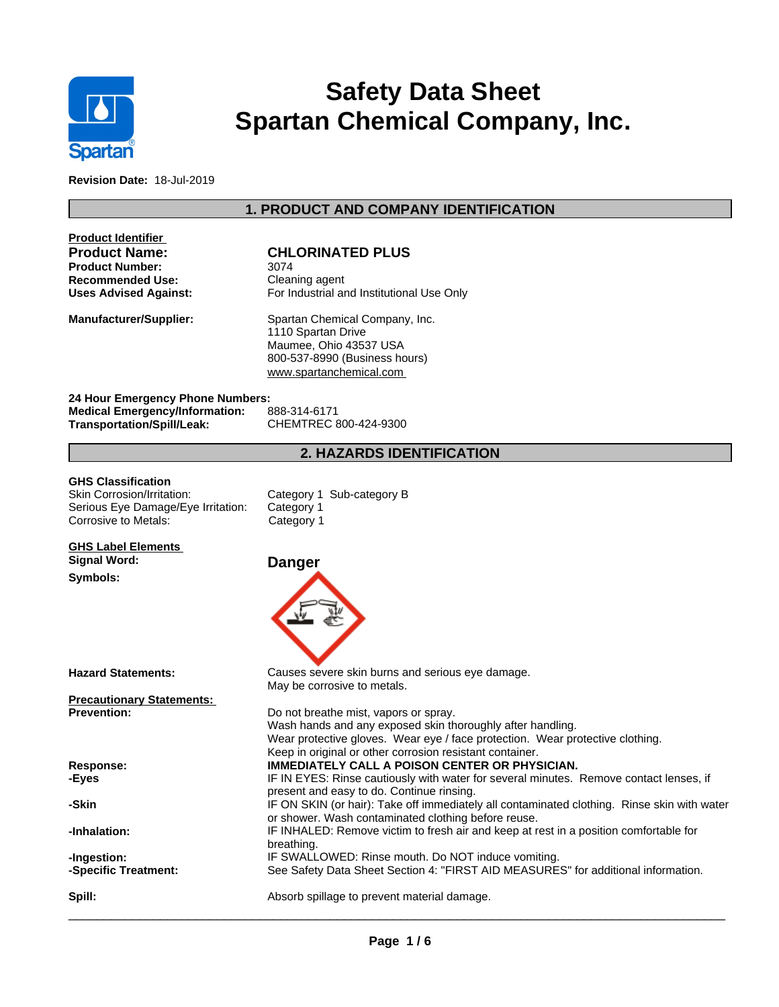

# **Safety Data Sheet Spartan Chemical Company, Inc.**

**Revision Date:** 18-Jul-2019

# **1. PRODUCT AND COMPANY IDENTIFICATION**

| <b>Product Identifier</b>    |  |
|------------------------------|--|
| <b>Product Name:</b>         |  |
| <b>Product Number:</b>       |  |
| Recommended Use:             |  |
| <b>Uses Advised Against:</b> |  |

# **CHLORINATED PLUS**<br>3074

**Product Number:** 3074 **Cleaning agent Uses Advised Against:** For Industrial and Institutional Use Only

**Manufacturer/Supplier:** Spartan Chemical Company, Inc. 1110 Spartan Drive Maumee, Ohio 43537 USA 800-537-8990 (Business hours) <www.spartanchemical.com>

**24 Hour Emergency Phone Numbers: Medical Emergency/Information: Transportation/Spill/Leak:** CHEMTREC 800-424-9300

# **2. HAZARDS IDENTIFICATION**

### **GHS Classification**

Skin Corrosion/Irritation: Category 1 Sub-category B Serious Eye Damage/Eye Irritation: Category 1 Corrosive to Metals: Category 1

### **GHS Label Elements Signal Word: Danger**

**Symbols:**

**Precautionary Statements:** 



**Hazard Statements:** Causes severe skin burns and serious eye damage. May be corrosive to metals. Do not breathe mist, vapors or spray. Wash hands and any exposed skin thoroughly after handling. Wear protective gloves. Wear eye / face protection. Wear protective clothing. Keep in original or other corrosion resistant container. **Response: IMMEDIATELY CALL A POISON CENTER OR PHYSICIAN. -Eyes IF IN EYES: Rinse cautiously with water for several minutes. Remove contact lenses, if** present and easy to do. Continue rinsing. **-Skin IF ON SKIN** (or hair): Take off immediately all contaminated clothing. Rinse skin with water or shower. Wash contaminated clothing before reuse. **-Inhalation:** IF INHALED: Remove victim to fresh air and keep at rest in a position comfortable for breathing. **-Ingestion:** IF SWALLOWED: Rinse mouth. Do NOT induce vomiting. **-Specific Treatment:** See Safety Data Sheet Section 4: "FIRST AID MEASURES" for additional information.

 $\overline{\phantom{a}}$  ,  $\overline{\phantom{a}}$  ,  $\overline{\phantom{a}}$  ,  $\overline{\phantom{a}}$  ,  $\overline{\phantom{a}}$  ,  $\overline{\phantom{a}}$  ,  $\overline{\phantom{a}}$  ,  $\overline{\phantom{a}}$  ,  $\overline{\phantom{a}}$  ,  $\overline{\phantom{a}}$  ,  $\overline{\phantom{a}}$  ,  $\overline{\phantom{a}}$  ,  $\overline{\phantom{a}}$  ,  $\overline{\phantom{a}}$  ,  $\overline{\phantom{a}}$  ,  $\overline{\phantom{a}}$ 

**Spill:** Absorb spillage to prevent material damage.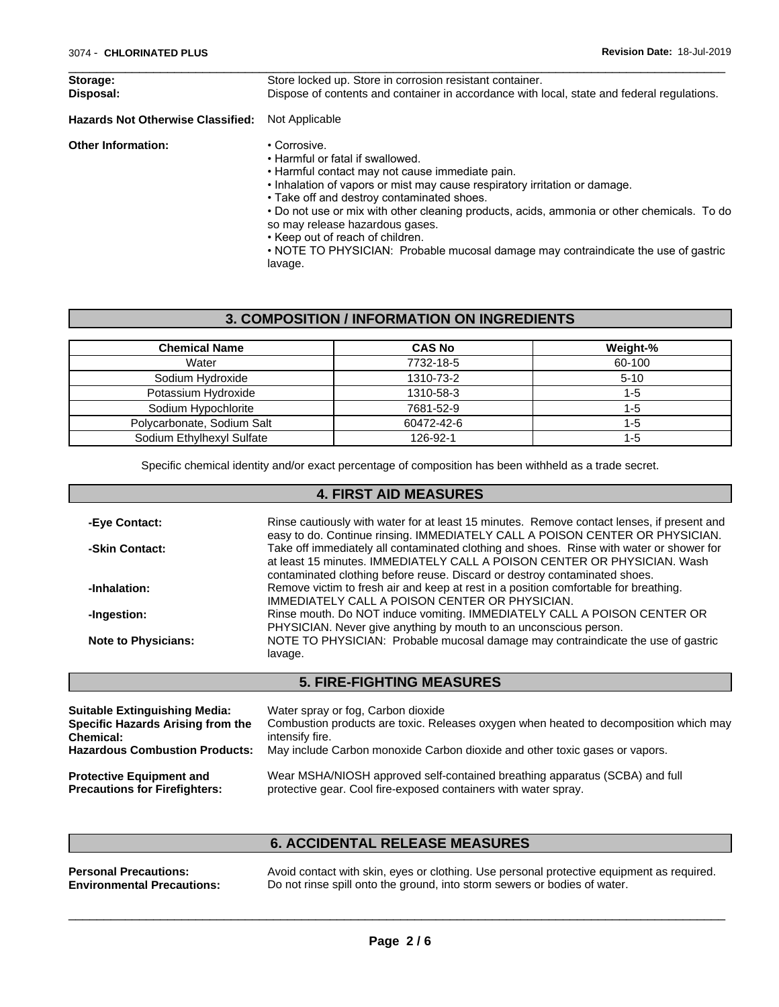| Storage:<br>Disposal:                    | Store locked up. Store in corrosion resistant container.<br>Dispose of contents and container in accordance with local, state and federal regulations.                                                                                                                                                                                                                                                                                                                                     |  |  |  |
|------------------------------------------|--------------------------------------------------------------------------------------------------------------------------------------------------------------------------------------------------------------------------------------------------------------------------------------------------------------------------------------------------------------------------------------------------------------------------------------------------------------------------------------------|--|--|--|
| <b>Hazards Not Otherwise Classified:</b> | Not Applicable                                                                                                                                                                                                                                                                                                                                                                                                                                                                             |  |  |  |
| <b>Other Information:</b>                | • Corrosive.<br>• Harmful or fatal if swallowed.<br>• Harmful contact may not cause immediate pain.<br>. Inhalation of vapors or mist may cause respiratory irritation or damage.<br>• Take off and destroy contaminated shoes.<br>. Do not use or mix with other cleaning products, acids, ammonia or other chemicals. To do<br>so may release hazardous gases.<br>• Keep out of reach of children.<br>• NOTE TO PHYSICIAN: Probable mucosal damage may contraindicate the use of gastric |  |  |  |

 $\overline{\phantom{a}}$  ,  $\overline{\phantom{a}}$  ,  $\overline{\phantom{a}}$  ,  $\overline{\phantom{a}}$  ,  $\overline{\phantom{a}}$  ,  $\overline{\phantom{a}}$  ,  $\overline{\phantom{a}}$  ,  $\overline{\phantom{a}}$  ,  $\overline{\phantom{a}}$  ,  $\overline{\phantom{a}}$  ,  $\overline{\phantom{a}}$  ,  $\overline{\phantom{a}}$  ,  $\overline{\phantom{a}}$  ,  $\overline{\phantom{a}}$  ,  $\overline{\phantom{a}}$  ,  $\overline{\phantom{a}}$ 

## **3. COMPOSITION / INFORMATION ON INGREDIENTS**

lavage.

| <b>Chemical Name</b>       | <b>CAS No</b> | Weight-% |
|----------------------------|---------------|----------|
| Water                      | 7732-18-5     | 60-100   |
| Sodium Hvdroxide           | 1310-73-2     | $5 - 10$ |
| Potassium Hydroxide        | 1310-58-3     | 1-5      |
| Sodium Hypochlorite        | 7681-52-9     | 1-5      |
| Polycarbonate, Sodium Salt | 60472-42-6    | 1-5      |
| Sodium Ethylhexyl Sulfate  | 126-92-1      | 1-5      |

Specific chemical identity and/or exact percentage of composition has been withheld as a trade secret.

|                            | <b>4. FIRST AID MEASURES</b>                                                                                                                                                                                                                       |
|----------------------------|----------------------------------------------------------------------------------------------------------------------------------------------------------------------------------------------------------------------------------------------------|
| -Eye Contact:              | Rinse cautiously with water for at least 15 minutes. Remove contact lenses, if present and<br>easy to do. Continue rinsing. IMMEDIATELY CALL A POISON CENTER OR PHYSICIAN.                                                                         |
| -Skin Contact:             | Take off immediately all contaminated clothing and shoes. Rinse with water or shower for<br>at least 15 minutes. IMMEDIATELY CALL A POISON CENTER OR PHYSICIAN. Wash<br>contaminated clothing before reuse. Discard or destroy contaminated shoes. |
| -Inhalation:               | Remove victim to fresh air and keep at rest in a position comfortable for breathing.<br>IMMEDIATELY CALL A POISON CENTER OR PHYSICIAN.                                                                                                             |
| -Ingestion:                | Rinse mouth. Do NOT induce vomiting. IMMEDIATELY CALL A POISON CENTER OR<br>PHYSICIAN. Never give anything by mouth to an unconscious person.                                                                                                      |
| <b>Note to Physicians:</b> | NOTE TO PHYSICIAN: Probable mucosal damage may contraindicate the use of gastric<br>lavage.                                                                                                                                                        |
|                            | <b>5. FIRE-FIGHTING MEASURES</b>                                                                                                                                                                                                                   |

| <b>Suitable Extinguishing Media:</b>  | Water spray or fog. Carbon dioxide                                                    |
|---------------------------------------|---------------------------------------------------------------------------------------|
| Specific Hazards Arising from the     | Combustion products are toxic. Releases oxygen when heated to decomposition which may |
| <b>Chemical:</b>                      | intensify fire.                                                                       |
| <b>Hazardous Combustion Products:</b> | May include Carbon monoxide Carbon dioxide and other toxic gases or vapors.           |
| <b>Protective Equipment and</b>       | Wear MSHA/NIOSH approved self-contained breathing apparatus (SCBA) and full           |
| <b>Precautions for Firefighters:</b>  | protective gear. Cool fire-exposed containers with water spray.                       |

# **6. ACCIDENTAL RELEASE MEASURES**

**Personal Precautions:** Avoid contact with skin, eyes or clothing. Use personal protective equipment as required.<br> **Environmental Precautions:** Do not rinse spill onto the ground, into storm sewers or bodies of water. Do not rinse spill onto the ground, into storm sewers or bodies of water.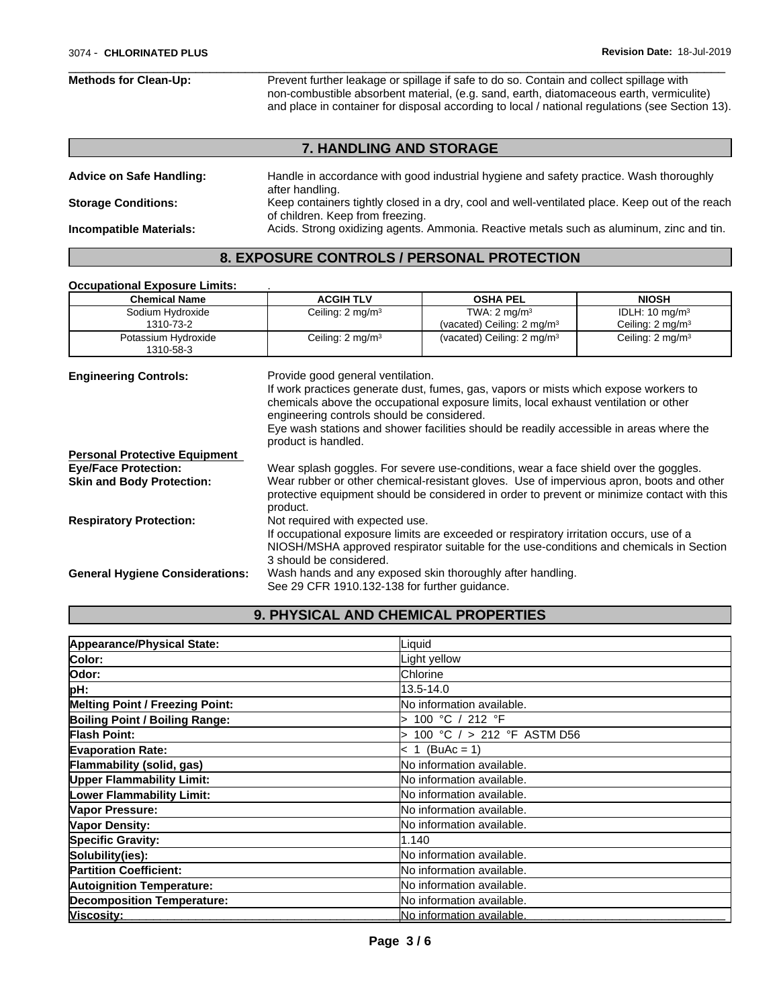# $\overline{\phantom{a}}$  ,  $\overline{\phantom{a}}$  ,  $\overline{\phantom{a}}$  ,  $\overline{\phantom{a}}$  ,  $\overline{\phantom{a}}$  ,  $\overline{\phantom{a}}$  ,  $\overline{\phantom{a}}$  ,  $\overline{\phantom{a}}$  ,  $\overline{\phantom{a}}$  ,  $\overline{\phantom{a}}$  ,  $\overline{\phantom{a}}$  ,  $\overline{\phantom{a}}$  ,  $\overline{\phantom{a}}$  ,  $\overline{\phantom{a}}$  ,  $\overline{\phantom{a}}$  ,  $\overline{\phantom{a}}$ **Methods for Clean-Up:** Prevent further leakage or spillage if safe to do so. Contain and collect spillage with non-combustible absorbent material, (e.g. sand, earth, diatomaceous earth, vermiculite) and place in container for disposal according to local / national regulations (see Section 13).

|                                 | <b>7. HANDLING AND STORAGE</b>                                                                                                     |
|---------------------------------|------------------------------------------------------------------------------------------------------------------------------------|
| <b>Advice on Safe Handling:</b> | Handle in accordance with good industrial hygiene and safety practice. Wash thoroughly<br>after handling.                          |
| <b>Storage Conditions:</b>      | Keep containers tightly closed in a dry, cool and well-ventilated place. Keep out of the reach<br>of children. Keep from freezing. |
| <b>Incompatible Materials:</b>  | Acids. Strong oxidizing agents. Ammonia. Reactive metals such as aluminum, zinc and tin.                                           |

# **8. EXPOSURE CONTROLS / PERSONAL PROTECTION**

#### **Occupational Exposure Limits:** .

| <b>Chemical Name</b>             | <b>ACGIH TLV</b>             | <b>OSHA PEL</b>                       | <b>NIOSH</b>                |
|----------------------------------|------------------------------|---------------------------------------|-----------------------------|
| Sodium Hydroxide                 | Ceiling: 2 mg/m <sup>3</sup> | TWA: $2 \text{ mg/m}^3$               | IDLH: $10 \text{ mg/m}^3$   |
| 1310-73-2                        |                              | (vacated) Ceiling: $2 \text{ mg/m}^3$ | Ceiling: $2 \text{ mg/m}^3$ |
| Potassium Hydroxide<br>1310-58-3 | Ceiling: 2 mg/m <sup>3</sup> | (vacated) Ceiling: $2 \text{ mg/m}^3$ | Ceiling: $2 \text{ mg/m}^3$ |

| Provide good general ventilation.                                                                                                                                                                   |
|-----------------------------------------------------------------------------------------------------------------------------------------------------------------------------------------------------|
| If work practices generate dust, fumes, gas, vapors or mists which expose workers to                                                                                                                |
| chemicals above the occupational exposure limits, local exhaust ventilation or other<br>engineering controls should be considered.                                                                  |
| Eye wash stations and shower facilities should be readily accessible in areas where the<br>product is handled.                                                                                      |
|                                                                                                                                                                                                     |
| Wear splash goggles. For severe use-conditions, wear a face shield over the goggles.                                                                                                                |
| Wear rubber or other chemical-resistant gloves. Use of impervious apron, boots and other<br>protective equipment should be considered in order to prevent or minimize contact with this<br>product. |
| Not required with expected use.                                                                                                                                                                     |
| If occupational exposure limits are exceeded or respiratory irritation occurs, use of a<br>NIOSH/MSHA approved respirator suitable for the use-conditions and chemicals in Section                  |
| 3 should be considered.                                                                                                                                                                             |
| Wash hands and any exposed skin thoroughly after handling.                                                                                                                                          |
| See 29 CFR 1910.132-138 for further guidance.                                                                                                                                                       |
|                                                                                                                                                                                                     |

# **9. PHYSICAL AND CHEMICAL PROPERTIES**

| Appearance/Physical State:        | Liquid                            |
|-----------------------------------|-----------------------------------|
| Color:                            | Light yellow                      |
| Odor:                             | <b>Chlorine</b>                   |
| pH:                               | 13.5-14.0                         |
| Melting Point / Freezing Point:   | No information available.         |
| Boiling Point / Boiling Range:    | 100 °C / 212 °F                   |
| <b>Flash Point:</b>               | 100 °C $/$ > 212 °F ASTM D56      |
| <b>Evaporation Rate:</b>          | $< 1$ (BuAc = 1)                  |
| Flammability (solid, gas)         | No information available.         |
| <b>Upper Flammability Limit:</b>  | No information available.         |
| Lower Flammability Limit:         | No information available.         |
| Vapor Pressure:                   | No information available.         |
| <b>Vapor Density:</b>             | No information available.         |
| Specific Gravity:                 | 1.140                             |
| Solubility(ies):                  | <b>No information available.</b>  |
| <b>Partition Coefficient:</b>     | No information available.         |
| <b>Autoignition Temperature:</b>  | No information available.         |
| <b>Decomposition Temperature:</b> | No information available.         |
| Viscosity:                        | <u>INo information available.</u> |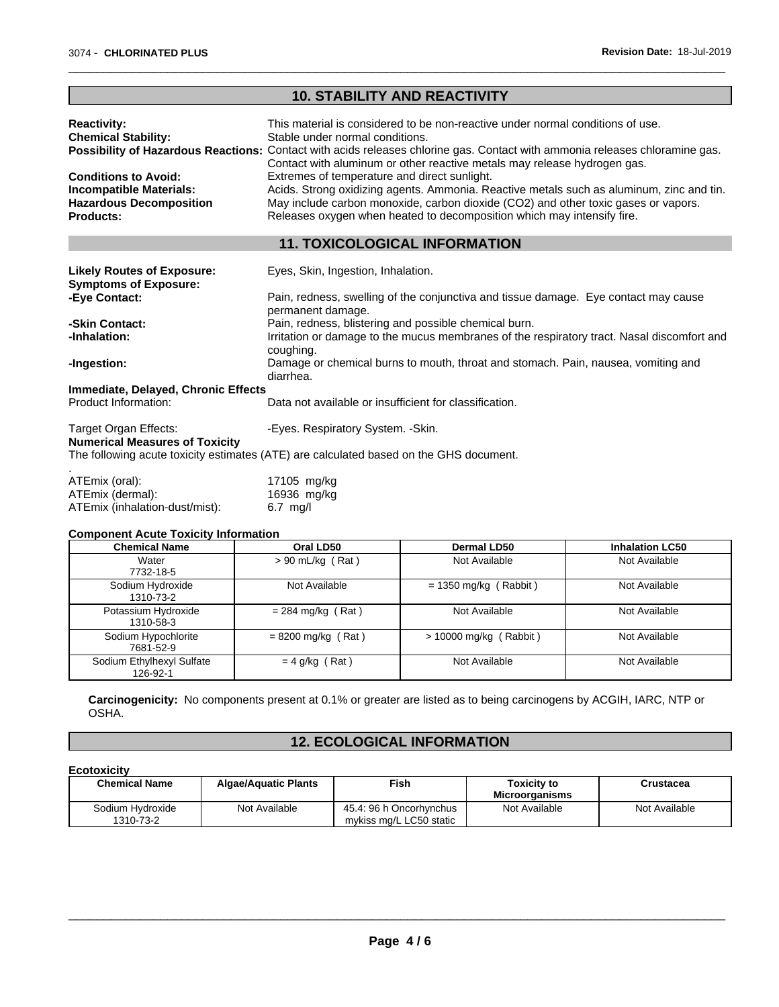|                                                                                                                     | <b>10. STABILITY AND REACTIVITY</b>                                                                                                                                                                                                                                                                                                                                                  |  |  |  |
|---------------------------------------------------------------------------------------------------------------------|--------------------------------------------------------------------------------------------------------------------------------------------------------------------------------------------------------------------------------------------------------------------------------------------------------------------------------------------------------------------------------------|--|--|--|
| <b>Reactivity:</b><br><b>Chemical Stability:</b>                                                                    | This material is considered to be non-reactive under normal conditions of use.<br>Stable under normal conditions.<br>Possibility of Hazardous Reactions: Contact with acids releases chlorine gas. Contact with ammonia releases chloramine gas.                                                                                                                                     |  |  |  |
| <b>Conditions to Avoid:</b><br><b>Incompatible Materials:</b><br><b>Hazardous Decomposition</b><br><b>Products:</b> | Contact with aluminum or other reactive metals may release hydrogen gas.<br>Extremes of temperature and direct sunlight.<br>Acids. Strong oxidizing agents. Ammonia. Reactive metals such as aluminum, zinc and tin.<br>May include carbon monoxide, carbon dioxide (CO2) and other toxic gases or vapors.<br>Releases oxygen when heated to decomposition which may intensify fire. |  |  |  |
|                                                                                                                     | <b>11. TOXICOLOGICAL INFORMATION</b>                                                                                                                                                                                                                                                                                                                                                 |  |  |  |
|                                                                                                                     |                                                                                                                                                                                                                                                                                                                                                                                      |  |  |  |
| <b>Likely Routes of Exposure:</b><br><b>Symptoms of Exposure:</b>                                                   | Eyes, Skin, Ingestion, Inhalation.                                                                                                                                                                                                                                                                                                                                                   |  |  |  |
| -Eye Contact:                                                                                                       | Pain, redness, swelling of the conjunctiva and tissue damage. Eye contact may cause<br>permanent damage.                                                                                                                                                                                                                                                                             |  |  |  |
| -Skin Contact:                                                                                                      | Pain, redness, blistering and possible chemical burn.                                                                                                                                                                                                                                                                                                                                |  |  |  |
| -Inhalation:                                                                                                        | Irritation or damage to the mucus membranes of the respiratory tract. Nasal discomfort and<br>coughing.                                                                                                                                                                                                                                                                              |  |  |  |
| -Ingestion:                                                                                                         | Damage or chemical burns to mouth, throat and stomach. Pain, nausea, vomiting and<br>diarrhea.                                                                                                                                                                                                                                                                                       |  |  |  |
| Immediate, Delayed, Chronic Effects                                                                                 |                                                                                                                                                                                                                                                                                                                                                                                      |  |  |  |
| Product Information:                                                                                                | Data not available or insufficient for classification.                                                                                                                                                                                                                                                                                                                               |  |  |  |
| Target Organ Effects:<br><b>Numerical Measures of Toxicity</b>                                                      | -Eyes. Respiratory System. - Skin.                                                                                                                                                                                                                                                                                                                                                   |  |  |  |
|                                                                                                                     | The following acute toxicity estimates (ATE) are calculated based on the GHS document.                                                                                                                                                                                                                                                                                               |  |  |  |
| ATEmix (oral):                                                                                                      | 17105 mg/kg                                                                                                                                                                                                                                                                                                                                                                          |  |  |  |
| ATEmix (dermal):                                                                                                    | 16936 mg/kg                                                                                                                                                                                                                                                                                                                                                                          |  |  |  |
| ATEmix (inhalation-dust/mist):                                                                                      | $6.7$ mg/l                                                                                                                                                                                                                                                                                                                                                                           |  |  |  |

 $\overline{\phantom{a}}$  ,  $\overline{\phantom{a}}$  ,  $\overline{\phantom{a}}$  ,  $\overline{\phantom{a}}$  ,  $\overline{\phantom{a}}$  ,  $\overline{\phantom{a}}$  ,  $\overline{\phantom{a}}$  ,  $\overline{\phantom{a}}$  ,  $\overline{\phantom{a}}$  ,  $\overline{\phantom{a}}$  ,  $\overline{\phantom{a}}$  ,  $\overline{\phantom{a}}$  ,  $\overline{\phantom{a}}$  ,  $\overline{\phantom{a}}$  ,  $\overline{\phantom{a}}$  ,  $\overline{\phantom{a}}$ 

#### **Component Acute Toxicity Information**

| <b>Chemical Name</b>                  | Oral LD50            | <b>Dermal LD50</b>       | <b>Inhalation LC50</b> |
|---------------------------------------|----------------------|--------------------------|------------------------|
| Water<br>7732-18-5                    | $> 90$ mL/kg (Rat)   | Not Available            | Not Available          |
| Sodium Hydroxide<br>1310-73-2         | Not Available        | $= 1350$ mg/kg (Rabbit)  | Not Available          |
| Potassium Hydroxide<br>1310-58-3      | $= 284$ mg/kg (Rat)  | Not Available            | Not Available          |
| Sodium Hypochlorite<br>7681-52-9      | $= 8200$ mg/kg (Rat) | $> 10000$ mg/kg (Rabbit) | Not Available          |
| Sodium Ethylhexyl Sulfate<br>126-92-1 | $= 4$ g/kg (Rat)     | Not Available            | Not Available          |

**Carcinogenicity:** No components present at 0.1% or greater are listed as to being carcinogens by ACGIH, IARC, NTP or OSHA.

# **12. ECOLOGICAL INFORMATION**

#### **Ecotoxicity**

| ---------- |                      |                             |                         |                                             |               |
|------------|----------------------|-----------------------------|-------------------------|---------------------------------------------|---------------|
|            | <b>Chemical Name</b> | <b>Algae/Aquatic Plants</b> | Fish                    | <b>Toxicity to</b><br><b>Microorganisms</b> | Crustacea     |
|            |                      |                             |                         |                                             |               |
|            | Sodium Hydroxide     | Not Available               | 45.4: 96 h Oncorhvnchus | Not Available                               | Not Available |
|            | 1310-73-2            |                             | mykiss mg/L LC50 static |                                             |               |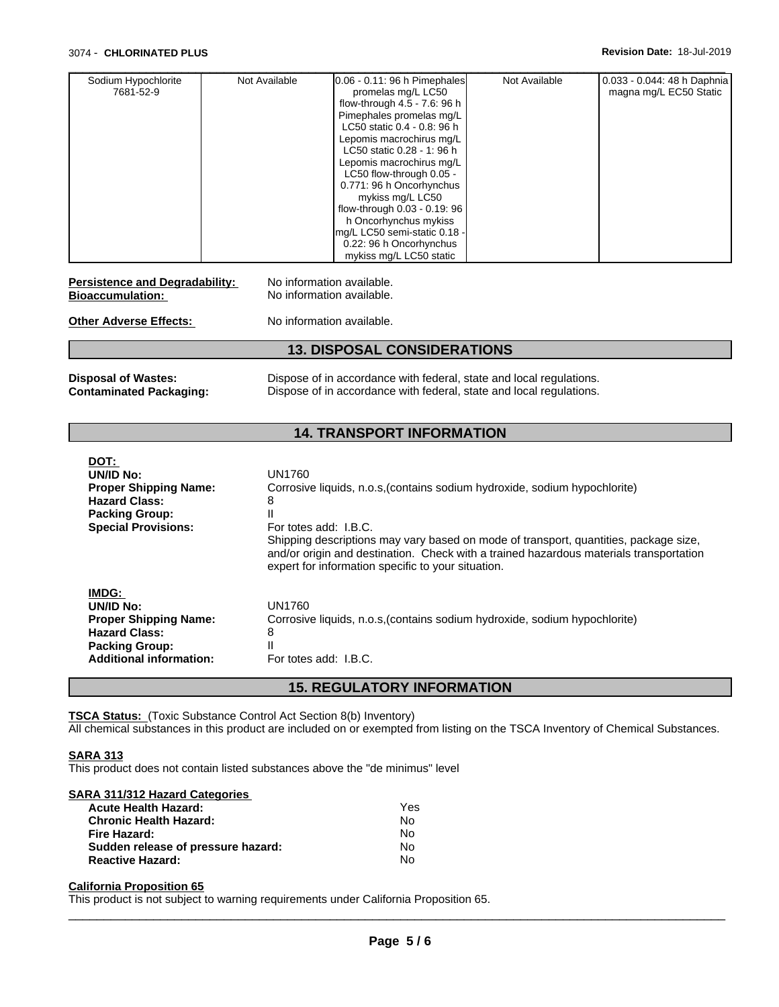| Sodium Hypochlorite<br>7681-52-9                                                                                                             | Not Available                                                | 0.06 - 0.11: 96 h Pimephales<br>promelas mg/L LC50<br>flow-through 4.5 - 7.6: 96 h<br>Pimephales promelas mg/L<br>LC50 static 0.4 - 0.8: 96 h<br>Lepomis macrochirus mg/L<br>LC50 static 0.28 - 1: 96 h<br>Lepomis macrochirus mg/L<br>LC50 flow-through 0.05 -<br>0.771: 96 h Oncorhynchus<br>mykiss mg/L LC50<br>flow-through 0.03 - 0.19: 96<br>h Oncorhynchus mykiss<br>mg/L LC50 semi-static 0.18<br>0.22: 96 h Oncorhynchus<br>mykiss mg/L LC50 static | Not Available | 0.033 - 0.044: 48 h Daphnia<br>magna mg/L EC50 Static |  |  |
|----------------------------------------------------------------------------------------------------------------------------------------------|--------------------------------------------------------------|--------------------------------------------------------------------------------------------------------------------------------------------------------------------------------------------------------------------------------------------------------------------------------------------------------------------------------------------------------------------------------------------------------------------------------------------------------------|---------------|-------------------------------------------------------|--|--|
| <b>Persistence and Degradability:</b><br><b>Bioaccumulation:</b>                                                                             |                                                              | No information available.<br>No information available.                                                                                                                                                                                                                                                                                                                                                                                                       |               |                                                       |  |  |
| <b>Other Adverse Effects:</b>                                                                                                                |                                                              | No information available.                                                                                                                                                                                                                                                                                                                                                                                                                                    |               |                                                       |  |  |
|                                                                                                                                              |                                                              | <b>13. DISPOSAL CONSIDERATIONS</b>                                                                                                                                                                                                                                                                                                                                                                                                                           |               |                                                       |  |  |
| <b>Disposal of Wastes:</b><br><b>Contaminated Packaging:</b>                                                                                 |                                                              | Dispose of in accordance with federal, state and local regulations.<br>Dispose of in accordance with federal, state and local regulations.                                                                                                                                                                                                                                                                                                                   |               |                                                       |  |  |
|                                                                                                                                              |                                                              | <b>14. TRANSPORT INFORMATION</b>                                                                                                                                                                                                                                                                                                                                                                                                                             |               |                                                       |  |  |
| DOT:<br><b>UN/ID No:</b><br><b>Proper Shipping Name:</b><br><b>Hazard Class:</b><br><b>Packing Group:</b><br><b>Special Provisions:</b>      | <b>UN1760</b><br>8<br>$\mathbf{II}$<br>For totes add: I.B.C. | Corrosive liquids, n.o.s, (contains sodium hydroxide, sodium hypochlorite)<br>Shipping descriptions may vary based on mode of transport, quantities, package size,<br>and/or origin and destination. Check with a trained hazardous materials transportation<br>expert for information specific to your situation.                                                                                                                                           |               |                                                       |  |  |
| IMDG:<br><b>UN/ID No:</b><br><b>Proper Shipping Name:</b><br><b>Hazard Class:</b><br><b>Packing Group:</b><br><b>Additional information:</b> | <b>UN1760</b><br>8<br>$\mathbf{II}$<br>For totes add: I.B.C. | Corrosive liquids, n.o.s, (contains sodium hydroxide, sodium hypochlorite)                                                                                                                                                                                                                                                                                                                                                                                   |               |                                                       |  |  |

# **15. REGULATORY INFORMATION**

**TSCA Status:** (Toxic Substance Control Act Section 8(b) Inventory) All chemical substances in this product are included on or exempted from listing on the TSCA Inventory of Chemical Substances.

#### **SARA 313**

This product does not contain listed substances above the "de minimus" level

### **SARA 311/312 Hazard Categories**

| <b>Acute Health Hazard:</b>        | Yes |  |
|------------------------------------|-----|--|
| <b>Chronic Health Hazard:</b>      | No  |  |
| Fire Hazard:                       | N٥  |  |
| Sudden release of pressure hazard: | No  |  |
| <b>Reactive Hazard:</b>            | N٥  |  |

#### **California Proposition 65**

This product is not subject to warning requirements under California Proposition 65.